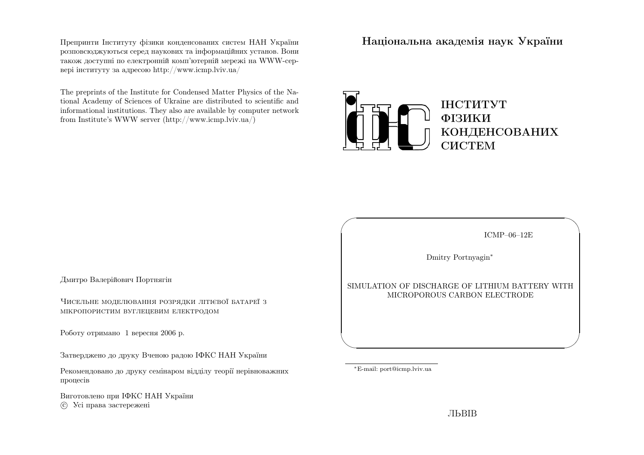Препринти Iнституту фiзики конденсованих систем НАН України розповсюджуються серед наукових та iнформацiйних установ. Вони також доступн<sup>i</sup> по електроннiй комп'ютернiй мереж<sup>i</sup> на WWW-сервер<sup>i</sup> iнституту за адресою http://www.icmp.lviv.ua/

The preprints of the Institute for Condensed Matter Physics of the National Academy of Sciences of Ukraine are distributed to scientific and informational institutions. They also are available by computer networkfrom Institute's WWW server (http://www.icmp.lviv.ua/)

Нацiональна академiя наук України



Дмитро Валерiйович Портнягiн

Чисельне моделювання розрядки лiтiєвої батареї <sup>з</sup>мiкропористим вуглецевим електродом

Роботу отримано <sup>1</sup> вересня <sup>2006</sup> р.

Затверджено до друку Вченою радою IФКС НАН України

Рекомендовано до друку семiнаром вiддiлу теорiї нерiвноважнихпроцесiв

Виготовлено при IФКС НАН Україниc Усi права застережен<sup>i</sup>

ICMP–06–12E

✩

 $\mathcal{S}$ 

Dmitry Portnyagin∗

SIMULATION OF DISCHARGE OF LITHIUM BATTERY WITHMICROPOROUS CARBON ELECTRODE

<sup>∗</sup>E-mail: port@icmp.lviv.ua

 $\sqrt{2}$ 

 $\setminus$ 

ЛЬВIВ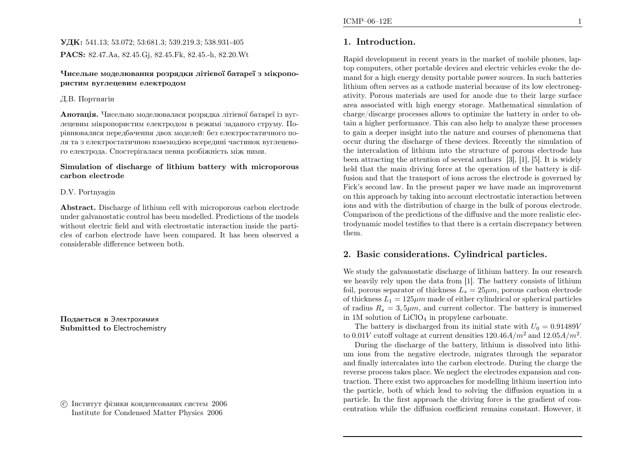## УДК: 541.13; 53.072; 53:681.3; 539.219.3; 538.931-405PACS: 82.47.Aa, 82.45.Gj, 82.45.Fk, 82.45.-h, 82.20.Wt

#### Чисельне моделювання розрядки лiтiєвої батареї <sup>з</sup> мiкропористим вуглецевим електродом

### Д.В. Портнягiн

**Анотація.** Чисельно моделювалася розрядка літієвої батареї із вуглецевим мiкропористим електродом <sup>в</sup> режим<sup>i</sup> заданого струму. По<sup>р</sup>iвнювалися передбачення двох моделей: без електростатичного поля та <sup>з</sup> електростатичною взаємодiєю всередин<sup>i</sup> частинок вуглецевого електрода. Спостерiгалася певна розбiжнiсть мiж ними.

### Simulation of discharge of lithium battery with microporouscarbon electrode

### D.V. Portnyagin

Abstract. Discharge of lithium cell with microporous carbon electrode under galvanostatic control has been modelled. Predictions of the models without electric field and with electrostatic interaction inside the particles of carbon electrode have been compared. It has been observed <sup>a</sup>considerable difference between both.

Подається <sup>в</sup> Электрохимия Submitted to Electrochemistry

 c Iнститут фiзики конденсованих систем <sup>2006</sup>Institute for Condensed Matter Physics <sup>2006</sup>

# 1. Introduction.

Rapid development in recent years in the market of mobile <sup>p</sup>hones, laptop computers, other portable devices and electric vehicles evoke the demand for <sup>a</sup> high energy density portable power sources. In such batteries lithium often serves as <sup>a</sup> cathode material because of its low electronegativity. Porous materials are used for anode due to their large surface area associated with high energy storage. Mathematical simulation of charge/discarge processes allows to optimize the battery in order to obtain <sup>a</sup> higher performance. This can also help to analyze these processes to gain <sup>a</sup> deeper insight into the nature and courses of <sup>p</sup>henomena that occur during the discharge of these devices. Recently the simulation of the intercalation of lithium into the structure of porous electrode has been attracting the attention of several authors [3], [1], [5]. It is widely held that the main driving force at the operation of the battery is diffusion and that the transport of ions across the electrode is governed by Fick's second law. In the present paper we have made an improvement on this approac<sup>h</sup> by taking into account electrostatic interaction between ions and with the distribution of charge in the bulk of porous electrode. Comparison of the predictions of the diffusive and the more realistic electrodynamic model testifies to that there is <sup>a</sup> certain discrepancy betweenthem.

# 2. Basic considerations. Cylindrical particles.

We study the galvanostatic discharge of lithium battery. In our research we heavily rely upon the data from [1]. The battery consists of lithiumfoil, porous separator of thickness  $L_s = 25 \mu m$ , porous carbon electrode of thickness  $L_1 = 125\mu m$  made of either cylindrical or spherical particles of radius  $R_s = 3, 5\mu m$ , and current collector. The battery is immersed in  $1M$  solution of  $LiClO<sub>4</sub>$  in propylene carbonate.

The battery is discharged from its initial state with  $U_0 = 0.91489V$ to  $0.01V$  cutoff voltage at current densities  $120.46A/m^2$  and  $12.05A/m^2$ .

During the discharge of the battery, lithium is dissolved into lithium ions from the negative electrode, migrates through the separator and finally intercalates into the carbon electrode. During the charge the reverse process takes <sup>p</sup>lace. We neglect the electrodes expansion and contraction. There exist two approaches for modelling lithium insertion into<br>the particle heath of which lead to selving the diffusion equation in a the particle, both of which lead to solving the diffusion equation in <sup>a</sup> particle. In the first approac<sup>h</sup> the driving force is the gradient of concentration while the diffusion coefficient remains constant. However, it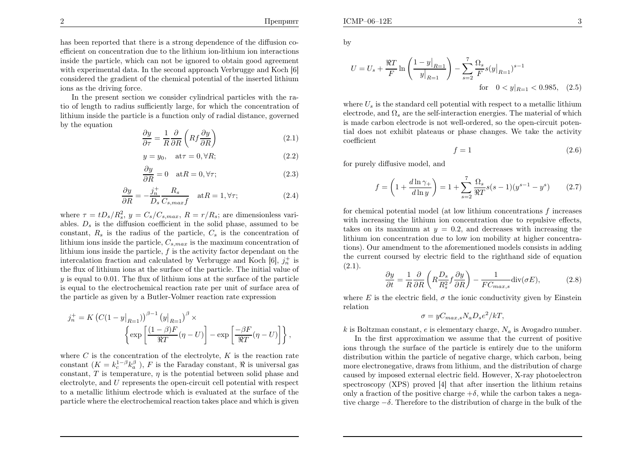,

has been reported that there is <sup>a</sup> strong dependence of the diffusion coefficient on concentration due to the lithium ion-lithium ion interactions inside the particle, which can not be ignored to obtain good agreement with experimental data. In the second approac<sup>h</sup> Verbrugge and Koch [6] considered the gradient of the chemical potential of the inserted lithiumions as the driving force.

In the present section we consider cylindrical particles with the ratio of length to radius sufficiently large, for which the concentration of lithium inside the particle is <sup>a</sup> function only of radial distance, governedby the equation

$$
\frac{\partial y}{\partial \tau} = \frac{1}{R} \frac{\partial}{\partial R} \left( R f \frac{\partial y}{\partial R} \right) \tag{2.1}
$$

$$
y = y_0, \quad \text{at}\tau = 0, \forall R;\tag{2.2}
$$

$$
\frac{\partial y}{\partial R} = 0 \quad \text{at} R = 0, \forall \tau; \tag{2.3}
$$

$$
\frac{\partial y}{\partial R} = -\frac{j_n^+}{D_s} \frac{R_s}{C_{s,max}f} \quad \text{at } R = 1, \forall \tau; \tag{2.4}
$$

where  $\tau = tD_s/R_s^2$ ,  $y = C_s/C_{s,max}$ ,  $R = r/R_s$ ; are dimensionless variables.  $D_s$  is the diffusion coefficient in the solid phase, assumed to be constant,  $R_s$  is the radius of the particle,  $C_s$  is the concentration of lithium ions inside the particle,  $C_{s,max}$  is the maximum concentration of lithium ions inside the particle,  $f$  is the activity factor dependant on the intercalation fraction and calculated by Verbrugge and Koch  $[6]$ ,  $j_n^+$  is the flux of lithium ions at the surface of the particle. The initial value of  $y$  is equal to 0.01. The flux of lithium ions at the surface of the particle is equa<sup>l</sup> to the electrochemical reaction rate per unit of surface area of the particle as <sup>g</sup>iven by <sup>a</sup> Butler-Volmer reaction rate expression

$$
j_n^+ = K \left( C(1 - y|_{R=1}) \right)^{\beta - 1} (y|_{R=1})^{\beta} \times \left\{ \exp \left[ \frac{(1 - \beta)F}{\Re T} (\eta - U) \right] - \exp \left[ \frac{-\beta F}{\Re T} (\eta - U) \right] \right\}
$$

where C is the concentration of the electrolyte, K is the reaction rate<br>constant  $(K - h^{1-\beta}h^{\beta})$ . E is the Foundary constant  $\mathfrak{D}$  is universal assoconstant  $(K = k_c^{1-\beta} k_a^{\beta})$ , F is the Faraday constant, R is universal gas constant,  $T$  is temperature,  $\eta$  is the potential between solid phase and electrolyte, and U represents the open-circuit cell potential with respect to <sup>a</sup> metallic lithium electrode which is evaluated at the surface of theparticle where the electrochemical reaction takes <sup>p</sup>lace and which is <sup>g</sup>iven by

$$
U = U_s + \frac{\Re T}{F} \ln \left( \frac{1 - y|_{R=1}}{y|_{R=1}} \right) - \sum_{s=2}^{7} \frac{\Omega_s}{F} s(y|_{R=1})^{s-1}
$$
  
for  $0 < y|_{R=1} < 0.985$ , (2.5)

where  $U_s$  is the standard cell potential with respect to a metallic lithium electrode, and  $\Omega_s$  are the self-interaction energies. The material of which is made carbon electrode is not well-ordered, so the open-circuit potential does not exhibit <sup>p</sup>lateaus or <sup>p</sup>hase changes. We take the activitycoefficient

$$
f = 1\tag{2.6}
$$

for purely diffusive model, and

$$
f = \left(1 + \frac{d\ln\gamma_+}{d\ln y}\right) = 1 + \sum_{s=2}^{7} \frac{\Omega_s}{\Re T} s(s-1)(y^{s-1} - y^s) \tag{2.7}
$$

for chemical potential model (at low lithium concentrations  $f$  increases with increasing the lithium ion concentration due to repulsive effects, takes on its maximum at  $y = 0.2$ , and decreases with increasing the lithium ion concentration due to low ion mobility at higher concentrations). Our amendment to the aforementioned models consists in adding the current coursed by electric field to the righthand side of equation $(2.1).$ 

$$
\frac{\partial y}{\partial t} = \frac{1}{R} \frac{\partial}{\partial R} \left( R \frac{D_s}{R_s^2} f \frac{\partial y}{\partial R} \right) - \frac{1}{FC_{max,s}} \text{div}(\sigma E),\tag{2.8}
$$

where E is the electric field,  $\sigma$  the ionic conductivity given by Einstein relation

$$
\sigma = yC_{max,s}N_aD_s e^2/kT,
$$

k is Boltzman constant, e is elementary charge,  $N_a$  is Avogadro number.

In the first approximation we assume that the current of positive ions through the surface of the particle is entirely due to the uniform distribution within the particle of negative charge, which carbon, being more electronegative, draws from lithium, and the distribution of charge caused by imposed external electric field. However, X-ray <sup>p</sup>hotoelectron spectroscopy (XPS) proved [4] that after insertion the lithium retainsonly a fraction of the positive charge  $+\delta$ , while the carbon takes a negative charge<sup>−</sup>δ. Therefore to the distribution of charge in the bulk of the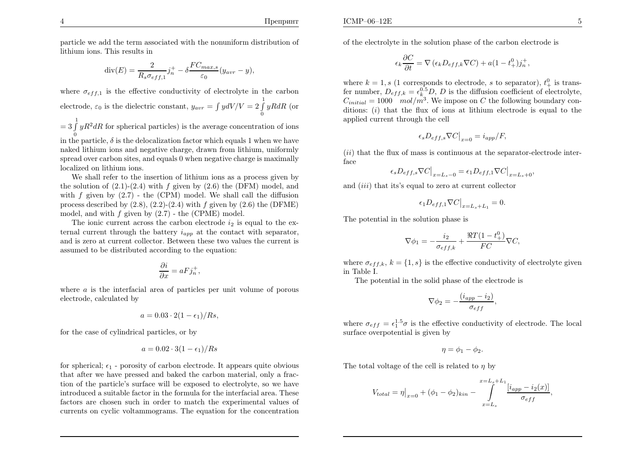Препринт

 $\mathbf{E}$  5

,

particle we add the term associated with the nonuniform distribution of lithium ions. This results in

$$
\operatorname{div}(E) = \frac{2}{R_s \sigma_{eff,1}} j_n^+ - \delta \frac{FC_{max,s}}{\varepsilon_0} (y_{avr} - y),
$$

where  $\sigma_{eff,1}$  is the effective conductivity of electrolyte in the carbon electrode,  $\varepsilon_0$  is the dielectric constant,  $y_{avr} = \int y dV / V = 2 \int_0^1 yR dR$  (or

 $= 3 \int_{0}^{1} y R^{2} dR$  for spherical particles) is the average concentration of ions

in the particle,  $\delta$  is the delocalization factor which equals 1 when we have naked lithium ions and negative charge, drawn from lithium, uniformly spread over carbon sites, and equals <sup>0</sup> when negative charge is maximallylocalized on lithium ions.

We shall refer to the insertion of lithium ions as <sup>a</sup> process <sup>g</sup>iven bythe solution of  $(2.1)-(2.4)$  with f given by  $(2.6)$  the (DFM) model, and with  $f$  given by  $(2.7)$  - the (CPM) model. We shall call the diffusion process described by  $(2.8)$ ,  $(2.2)$ - $(2.4)$  with  $f$  given by  $(2.6)$  the (DFME) model, and with  $f$  given by  $(2.7)$  - the (CPME) model.

The ionic current across the carbon electrode  $i_2$  is equal to the external current through the battery  $i_{app}$  at the contact with separator, and is zero at current collector. Between these two values the current isassumed to be distributed according to the equation:

$$
\frac{\partial i}{\partial x} = aFj_n^+,
$$

where  $\alpha$  is the interfacial area of particles per unit volume of porous electrode, calculated by

$$
a = 0.03 \cdot 2(1 - \epsilon_1)/Rs,
$$

for the case of cylindrical particles, or by

$$
a = 0.02 \cdot 3(1 - \epsilon_1)/Rs
$$

for spherical;  $\epsilon_1$  - porosity of carbon electrode. It appears quite obvious that after we have pressed and baked the carbon material, only <sup>a</sup> fraction of the particle's surface will be exposed to electrolyte, so we have introduced <sup>a</sup> suitable factor in the formula for the interfacial area. These factors are chosen such in order to match the experimental values of currents on cyclic voltammograms. The equation for the concentration

of the electrolyte in the solution <sup>p</sup>hase of the carbon electrode is

$$
\epsilon_k \frac{\partial C}{\partial t} = \nabla \left( \epsilon_k D_{eff,k} \nabla C \right) + a(1 - t_+^0) j_n^+
$$

where  $k = 1, s$  (1 corresponds to electrode, s to separator),  $t_{+}^{0}$  is trans-<br>for number  $D_{-} = c^{0.5} D_{-} D$  is the diffusion esefficient of electrolistic fer number,  $D_{eff,k} = \epsilon_k^{0.5} D, D$  is the diffusion coefficient of electrolyte,  $C_{initial} = 1000 \mod mol/m^3$ . We impose on C the following boundary con ditions: (i) that the flux of ions at lithium electrode is equa<sup>l</sup> to theapplied current through the cell

$$
\epsilon_s D_{eff,s} \nabla C \big|_{x=0} = i_{app}/F,
$$

 $(ii)$  that the flux of mass is continuous at the separator-electrode interface

$$
\epsilon_s D_{eff,s} \nabla C \big|_{x=L_s-0} = \epsilon_1 D_{eff,1} \nabla C \big|_{x=L_s+0},
$$

and  $(iii)$  that its's equal to zero at current collector

$$
\epsilon_1 D_{eff,1} \nabla C \big|_{x=L_s+L_1} = 0.
$$

The potential in the solution <sup>p</sup>hase is

$$
\nabla \phi_1 = -\frac{i_2}{\sigma_{eff,k}} + \frac{\Re T (1 - t_+^0)}{FC} \nabla C,
$$

where  $\sigma_{eff,k}$ ,  $k = \{1, s\}$  is the effective conductivity of electrolyte given in Table I.

The potential in the solid <sup>p</sup>hase of the electrode is

$$
\nabla \phi_2 = -\frac{(i_{app} - i_2)}{\sigma_{eff}},
$$

where  $\sigma_{eff} = \epsilon_1^{1.5} \sigma$  is the effective conductivity of electrode. The local surface overpotential is <sup>g</sup>iven by

$$
\eta = \phi_1 - \phi_2.
$$

The total voltage of the cell is related to  $\eta$  by

$$
V_{total} = \eta \big|_{x=0} + (\phi_1 - \phi_2)_{kin} - \int_{x=L_s}^{x=L_s + L_1} \frac{[i_{app} - i_2(x)]}{\sigma_{eff}},
$$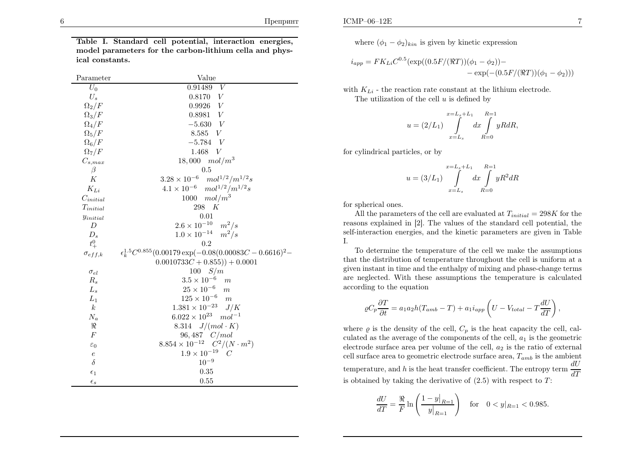Table I. Standard cell potential, interaction energies, model parameters for the carbon-lithium cella and <sup>p</sup>hysical constants.

| Parameter               | Value                                                                 |
|-------------------------|-----------------------------------------------------------------------|
| $U_0$                   | 0.91489<br>V                                                          |
| $U_s$                   | 0.8170 V                                                              |
| $\Omega_2/F$            | $0.9926\quad V$                                                       |
| $\Omega_3/F$            | $0.8981\quad V$                                                       |
| $\Omega_4/F$            | $-5.630 V$                                                            |
| $\Omega_5/F$            | 8.585 V                                                               |
| $\Omega_6/F$            | $-5.784$ V                                                            |
| $\Omega_7/F$            | 1.468<br>V                                                            |
| $C_{s, max}$            | $18,000 \mod m^3$                                                     |
| $\beta$                 | 0.5                                                                   |
| К                       | $3.28\times10^{-6}$<br>$mol^{1/2}/m^{1/2}s$                           |
| $K_{Li}$                | $4.1 \times 10^{-6}$ $mol^{1/2}/m^{1/2}s$                             |
| $\mathcal{C}_{initial}$ | 1000 $mol/m^3$                                                        |
| $T_{initial}$           | 298 $K$                                                               |
| $y_{initial}$           | 0.01                                                                  |
| D                       | $2.6 \times 10^{-10}$ $m^2/s$                                         |
| $D_s$                   | $1.0 \times 10^{-14}$ $m^2/s$                                         |
| $t^{0}_{+}$             | 0.2                                                                   |
| $\sigma_{eff,k}$        | $\epsilon_k^{1.5}C^{0.855}(0.00179 \exp(-0.08(0.00083C - 0.6616)^2 -$ |
|                         | $(0.0010733C + 0.855)) + 0.0001$                                      |
| $\sigma_{el}$           | 100 S/m                                                               |
| $R_s$                   | $3.5 \times 10^{-6}$<br>$\boldsymbol{m}$                              |
| $L_s$                   | $25 \times 10^{-6}$<br>$\boldsymbol{m}$                               |
| $L_1$                   | $125 \times 10^{-6}$<br>$\overline{m}$                                |
| $\boldsymbol{k}$        | $1.381 \times 10^{-23}$ J/K                                           |
| $N_a$                   | $6.022 \times 10^{23}$ $mol^{-1}$                                     |
| $\Re$                   | 8.314 $J/(mol \cdot K)$                                               |
| F                       | $96,487 \quad C/mol$                                                  |
| $\varepsilon_0$         | $8.854 \times 10^{-12}$ $C^2/(N \cdot m^2)$                           |
| $\boldsymbol{e}$        | $1.9 \times 10^{-19}$<br>$\overline{C}$                               |
| $\delta$                | $10^{-9}$                                                             |
| $\epsilon_1$            | 0.35                                                                  |
| $\epsilon_s$            | 0.55                                                                  |

where  $(\phi_1 - \phi_2)_{kin}$  is given by kinetic expression

$$
i_{app} = FK_{Li}C^{0.5}(\exp((0.5F/(\Re T))(\phi_1 - \phi_2)) -
$$
  
- 
$$
= \exp(-(0.5F/(\Re T))(\phi_1 - \phi_2)))
$$

with  $K_{Li}$  - the reaction rate constant at the lithium electrode.

The utilization of the cell  $u$  is defined by

$$
u = (2/L_1) \int_{x=L_s}^{x=L_s+L_1} dx \int_{R=0}^{R=1} yR dR,
$$

for cylindrical particles, or by

$$
u = (3/L_1) \int_{x=L_s}^{x=L_s+L_1} dx \int_{R=0}^{R=1} yR^2 dR
$$

for spherical ones.

All the parameters of the cell are evaluated at  $T_{initial} = 298K$  for the space cyrridical in [9]. The values of the standard cell potential, the reasons explained in [2]. The values of the standard cell potential, the self-interaction energies, and the kinetic parameters are <sup>g</sup>iven in Table I.

To determine the temperature of the cell we make the assumptions that the distribution of temperature throughout the cell is uniform at <sup>a</sup> <sup>g</sup>iven instant in time and the enthalpy of mixing and <sup>p</sup>hase-change terms are neglected. With these assumptions the temperature is calculatedaccording to the equation

$$
\varrho C_p \frac{\partial T}{\partial t} = a_1 a_2 h (T_{amb} - T) + a_1 i_{app} \left( U - V_{total} - T \frac{dU}{dT} \right),
$$

where  $\rho$  is the density of the cell,  $C_p$  is the heat capacity the cell, calculated as the average of the components of the cell,  $a_1$  is the geometric electrode surface area per volume of the cell,  $a_2$  is the ratio of external cell surface area to geometric electrode surface area,  $T_{amb}$  is the ambient temperature, and h is the heat transfer coefficient. The entropy term  $\frac{dU}{dT}$ is obtained by taking the derivative of  $(2.5)$  with respect to T:

$$
\frac{dU}{dT} = \frac{\Re}{F} \ln \left( \frac{1 - y|_{R=1}}{y|_{R=1}} \right) \quad \text{for} \quad 0 < y|_{R=1} < 0.985.
$$

6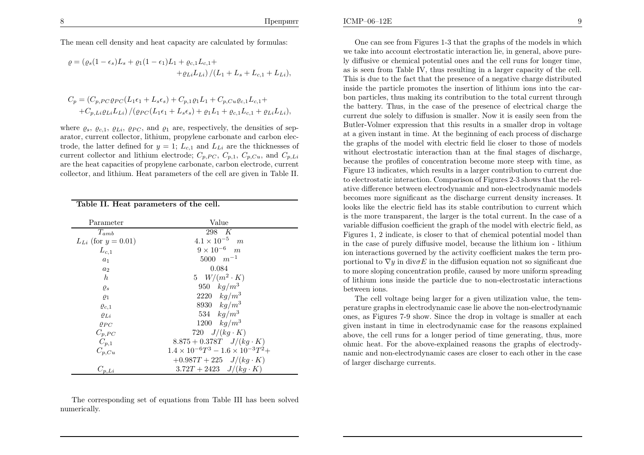The mean cell density and heat capacity are calculated by formulas:

$$
\varrho = (\varrho_s (1 - \epsilon_s)L_s + \varrho_1 (1 - \epsilon_1)L_1 + \varrho_{c,1}L_{c,1} +
$$
  
+
$$
+ \varrho_{Li}L_{Li}) / (L_1 + L_s + L_{c,1} + L_{Li}),
$$

$$
C_p = (C_{p,PC}\varrho_{PC}(L_1\epsilon_1 + L_s\epsilon_s) + C_{p,1}\varrho_1L_1 + C_{p,Cu}\varrho_{c,1}L_{c,1} + C_{p,Li}\varrho_{Li}L_{Li}) / (\varrho_{PC}(L_1\epsilon_1 + L_s\epsilon_s) + \varrho_1L_1 + \varrho_{c,1}L_{c,1} + \varrho_{Li}L_{Li}),
$$

where  $\varrho_s$ ,  $\varrho_{c,1}$ ,  $\varrho_{Li}$ ,  $\varrho_{PC}$ , and  $\varrho_1$  are, respectively, the densities of separator, current collector, lithium, propylene carbonate and carbon electrode, the latter defined for  $y = 1$ ;  $L_{c,1}$  and  $L_{Li}$  are the thicknesses of current collector and lithium electrode;  $C_{p,PC}$ ,  $C_{p,1}$ ,  $C_{p,Cu}$ , and  $C_{p,Li}$  are the heat capacities of propylene carbonate, carbon electrode, currentcollector, and lithium. Heat parameters of the cell are <sup>g</sup>iven in Table II.

Table II. Heat parameters of the cell.

| Parameter                  | Value                                             |
|----------------------------|---------------------------------------------------|
| $T_{amb}$                  | 298 K                                             |
| $L_{Li}$ (for $y = 0.01$ ) | $4.1 \times 10^{-5}$<br>$\overline{m}$            |
| $L_{c,1}$                  | $9 \times 10^{-6}$ m                              |
| $a_1$                      | $5000 \, m^{-1}$                                  |
| $a_2$                      | 0.084                                             |
| $\boldsymbol{h}$           | 5 $W/(m^2 \cdot K)$                               |
| $\varrho_s$                | 950 $kg/m^3$                                      |
| $\varrho_1$                | 2220 $kg/m^3$                                     |
| $\varrho_{c,1}$            | 8930 $kg/m^3$                                     |
| $\varrho_{Li}$             | 534 $kg/m^3$                                      |
| $\rho_{PC}$                | 1200 $kg/m^3$                                     |
| $C_{p,PC}$                 | 720 $J/(kg \cdot K)$                              |
| $C_{p,1}$                  | $8.875 + 0.378T$ $J/(kg \cdot K)$                 |
| $C_{p,Cu}$                 | $1.4 \times 10^{-6}T^3 - 1.6 \times 10^{-3}T^2 +$ |
|                            | $+0.987T+225$ $J/(kg \cdot K)$                    |
| $C_{p,Li}$                 | $3.72T + 2423$ $J/(kg \cdot K)$                   |

The corresponding set of equations from Table III has been solvednumerically.

One can see from Figures 1-3 that the graphs of the models in which we take into account electrostatic interaction lie, in general, above purely diffusive or chemical potential ones and the cell runs for longer time, as is seen from Table IV, thus resulting in <sup>a</sup> larger capacity of the cell. This is due to the fact that the presence of <sup>a</sup> negative charge distributed inside the particle promotes the insertion of lithium ions into the carbon particles, thus making its contribution to the total current through the battery. Thus, in the case of the presence of electrical charge the current due solely to diffusion is smaller. Now it is easily seen from the Butler-Volmer expression that this results in <sup>a</sup> smaller drop in voltage at <sup>a</sup> <sup>g</sup>iven instant in time. At the beginning of each process of discharge the graphs of the model with electric field lie closer to those of models without electrostatic interaction than at the final stages of discharge, because the profiles of concentration become more steep with time, as Figure <sup>13</sup> indicates, which results in <sup>a</sup> larger contribution to current due to electrostatic interaction. Comparison of Figures 2-3 shows that the relative difference between electrodynamic and non-electrodynamic models becomes more significant as the discharge current density increases. It looks like the electric field has its stable contribution to current which is the more transparent, the larger is the total current. In the case of <sup>a</sup> variable diffusion coefficient the grap<sup>h</sup> of the model with electric field, as Figures 1, <sup>2</sup> indicate, is closer to that of chemical potential model than in the case of purely diffusive model, because the lithium ion - lithium ion interactions governed by the activity coefficient makes the term proportional to  $\nabla y$  in div $\sigma E$  in the diffusion equation not so significant due to more sloping concentration profile, caused by more uniform spreading of lithium ions inside the particle due to non-electrostatic interactionsbetween ions.

The cell voltage being larger for <sup>a</sup> <sup>g</sup>iven utilization value, the temperature graphs in electrodynamic case lie above the non-electrodynamic ones, as Figures 7-9 show. Since the drop in voltage is smaller at each <sup>g</sup>iven instant in time in electrodynamic case for the reasons explained above, the cell runs for <sup>a</sup> longer period of time generating, thus, more ohmic heat. For the above-explained reasons the graphs of electrodynamic and non-electrodynamic cases are closer to each other in the caseof larger discharge currents.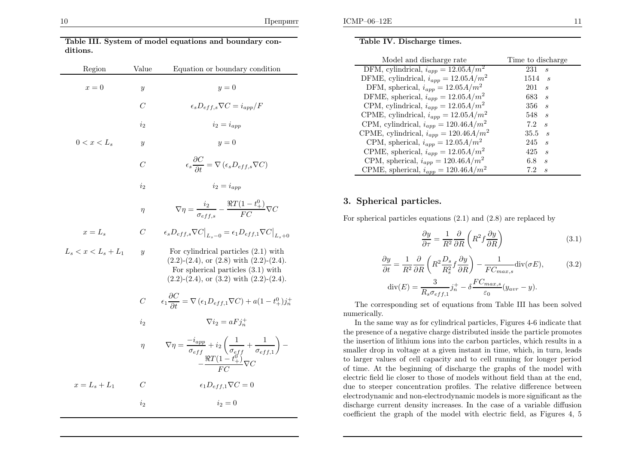| Region                | Value            | Equation or boundary condition                                                                                                                                                       |
|-----------------------|------------------|--------------------------------------------------------------------------------------------------------------------------------------------------------------------------------------|
| $x=0$                 | у                | $u=0$                                                                                                                                                                                |
|                       | $\overline{C}$   | $\epsilon_s D_{eff,s} \nabla C = i_{amp}/F$                                                                                                                                          |
|                       | $i_2$            | $i_2=i_{amn}$                                                                                                                                                                        |
| $0 < x < L_{s}$       | $\boldsymbol{y}$ | $y=0$                                                                                                                                                                                |
|                       | C                | $\epsilon_s \frac{\partial C}{\partial t} = \nabla \left( \epsilon_s D_{eff,s} \nabla C \right)$                                                                                     |
|                       | $i_2$            | $i_2 = i_{amp}$                                                                                                                                                                      |
|                       | $\eta$           | $\nabla \eta = \frac{i_2}{\sigma_{eff.s}} - \frac{\Re T (1-t_+^0)}{FC} \nabla C$                                                                                                     |
| $x=L_s$               | $\,C$            | $\epsilon_s D_{eff,s} \nabla C \big _{L=-0} = \epsilon_1 D_{eff,1} \nabla C \big _{L=-0}$                                                                                            |
| $L_s < x < L_s + L_1$ | $\boldsymbol{y}$ | For cylindrical particles $(2.1)$ with<br>$(2.2)-(2.4)$ , or $(2.8)$ with $(2.2)-(2.4)$ .<br>For spherical particles $(3.1)$ with<br>$(2.2)-(2.4)$ , or $(3.2)$ with $(2.2)-(2.4)$ . |
|                       | $\overline{C}$   | $\epsilon_1 \frac{\partial C}{\partial t} = \nabla \left( \epsilon_1 D_{eff,1} \nabla C \right) + a \left( 1 - t^0_+ \right) j_n^+$                                                  |
|                       | i <sub>2</sub>   | $\nabla i_2 = aF i_n^+$                                                                                                                                                              |
|                       | $\eta$           | $\nabla \eta = \frac{-i_{app}}{\sigma_{eff}} + i_2 \left( \frac{1}{\sigma_{eff}} + \frac{1}{\sigma_{eff,1}} \right) - \\ - \frac{\Re T (1 - t_+^0)}{F C} \nabla C$                   |
| $x=L_{s}+L_{1}$       | $\overline{C}$   | $\epsilon_1 D_{eff,1} \nabla C = 0$                                                                                                                                                  |
|                       | $i_2$            | $i_2 = 0$                                                                                                                                                                            |

Table III. System of model equations and boundary con-

### Table IV. Discharge times.

| Model and discharge rate                                         | Time to discharge                  |
|------------------------------------------------------------------|------------------------------------|
| $\overline{\mathrm{DFM}}$ , cylindrical, $i_{app} = 12.05 A/m^2$ | $231 \t s$                         |
| DFME, cylindrical, $i_{app} = 12.05 A/m^2$                       | $1514 \t s$                        |
| DFM, spherical, $i_{app} = 12.05 A/m^2$                          | 201<br>$\mathcal{S}_{\mathcal{S}}$ |
| DFME, spherical, $i_{app} = 12.05 A/m^2$                         | $683 \quad s$                      |
| CPM, cylindrical, $i_{app} = 12.05 A/m^2$                        | $356 \t s$                         |
| CPME, cylindrical, $i_{app} = 12.05 A/m^2$                       | $548 \t s$                         |
| CPM, cylindrical, $i_{app} = 120.46 A/m^2$                       | $7.2 \t s$                         |
| CPME, cylindrical, $i_{app} = 120.46 A/m^2$                      | $35.5 \quad s$                     |
| CPM, spherical, $i_{app} = 12.05 A/m^2$                          | $245 \t s$                         |
| CPME, spherical, $i_{app} = 12.05 A/m^2$                         | 425<br>$\mathcal{S}_{\mathcal{S}}$ |
| CPM, spherical, $i_{app} = 120.46 A/m^2$                         | 6.8<br>$\mathcal{S}_{\mathcal{S}}$ |
| CPME, spherical, $i_{app} = 120.46 A/m^2$                        | 7.2<br>$\mathcal{S}_{\mathcal{S}}$ |

#### 3. Spherical particles.

For spherical particles equations (2.1) and (2.8) are replaced by

$$
\frac{\partial y}{\partial \tau} = \frac{1}{R^2} \frac{\partial}{\partial R} \left( R^2 f \frac{\partial y}{\partial R} \right) \tag{3.1}
$$

$$
\frac{\partial y}{\partial t} = \frac{1}{R^2} \frac{\partial}{\partial R} \left( R^2 \frac{D_s}{R_s^2} f \frac{\partial y}{\partial R} \right) - \frac{1}{FC_{max,s}} \text{div}(\sigma E), \tag{3.2}
$$

$$
\text{div}(E) = \frac{3}{R_s \sigma_{eff,1}} j_n^+ - \delta \frac{FC_{max,s}}{\varepsilon_0} (y_{avr} - y).
$$

The corresponding set of equations from Table III has been solvednumerically.

In the same way as for cylindrical particles, Figures 4-6 indicate that the presence of <sup>a</sup> negative charge distributed inside the particle promotes the insertion of lithium ions into the carbon particles, which results in <sup>a</sup> smaller drop in voltage at <sup>a</sup> <sup>g</sup>iven instant in time, which, in turn, leads to larger values of cell capacity and to cell running for longer period of time. At the beginning of discharge the graphs of the model with electric field lie closer to those of models without field than at the end, due to steeper concentration profiles. The relative difference between electrodynamic and non-electrodynamic models is more significant as the discharge current density increases. In the case of <sup>a</sup> variable diffusioncoefficient the grap<sup>h</sup> of the model with electric field, as Figures 4, <sup>5</sup>

ditions.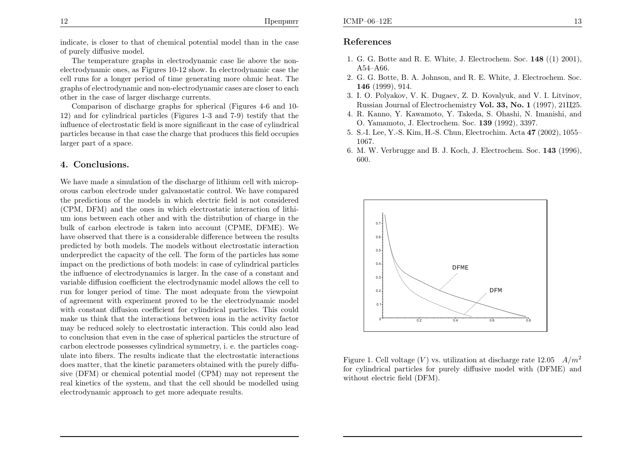indicate, is closer to that of chemical potential model than in the case of purely diffusive model.

The temperature graphs in electrodynamic case lie above the nonelectrodynamic ones, as Figures 10-12 show. In electrodynamic case the cell runs for <sup>a</sup> longer period of time generating more ohmic heat. The graphs of electrodynamic and non-electrodynamic cases are closer to eachother in the case of larger discharge currents.

Comparison of discharge graphs for spherical (Figures 4-6 and 10- 12) and for cylindrical particles (Figures 1-3 and 7-9) testify that the influence of electrostatic field is more significant in the case of cylindrical particles because in that case the charge that produces this field occupies larger part of <sup>a</sup> space.

### 4. Conclusions.

We have made <sup>a</sup> simulation of the discharge of lithium cell with microporous carbon electrode under galvanostatic control. We have compared the predictions of the models in which electric field is not considered (CPM, DFM) and the ones in which electrostatic interaction of lithium ions between each other and with the distribution of charge in the bulk of carbon electrode is taken into account (CPME, DFME). We have observed that there is <sup>a</sup> considerable difference between the results predicted by both models. The models without electrostatic interaction underpredict the capacity of the cell. The form of the particles has some impact on the predictions of both models: in case of cylindrical particles the influence of electrodynamics is larger. In the case of <sup>a</sup> constant and variable diffusion coefficient the electrodynamic model allows the cell to run for longer period of time. The most adequate from the viewpoint of agreement with experiment proved to be the electrodynamic model with constant diffusion coefficient for cylindrical particles. This could make us think that the interactions between ions in the activity factor may be reduced solely to electrostatic interaction. This could also lead to conclusion that even in the case of spherical particles the structure of carbon electrode possesses cylindrical symmetry, i. e. the particles coagulate into fibers. The results indicate that the electrostatic interactions does matter, that the kinetic parameters obtained with the purely diffusive (DFM) or chemical potential model (CPM) may not represent the real kinetics of the system, and that the cell should be modelled usingelectrodynamic approac<sup>h</sup> to get more adequate results.

### References

- 1. G. G. Botte and R. E. White, J. Electrochem. Soc.  $148$  ((1) 2001), A54–A66.
- 2. G. G. Botte, B. A. Johnson, and R. E. White, J. Electrochem. Soc. 146 (1999), 914.
- 3. I. O. Polyakov, V. K. Dugaev, Z. D. Kovalyuk, and V. I. Litvinov, Russian Journal of Electrochemistry **Vol. 33, No. 1** (1997), 21Ц25.
- 4. R. Kanno, Y. Kawamoto, Y. Takeda, S. Ohashi, N. Imanishi, andO. Yamamoto, J. Electrochem. Soc. <sup>139</sup> (1992), 3397.
- 5. S.-I. Lee, Y.-S. Kim, H.-S. Chun, Electrochim. Acta <sup>47</sup> (2002), 1055– 1067.
- 6. M. W. Verbrugge and B. J. Koch, J. Electrochem. Soc. <sup>143</sup> (1996), 600.



Figure 1. Cell voltage  $(V)$  vs. utilization at discharge rate  $12.05$   $A/m^2$ for cylindrical particles for purely diffusive model with (DFME) andwithout electric field (DFM).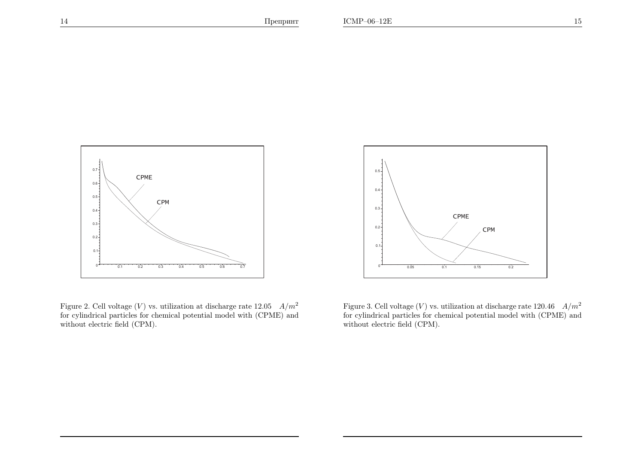

Figure 2. Cell voltage  $(V)$  vs. utilization at discharge rate  $12.05$   $A/m^2$ for cylindrical particles for chemical potential model with (CPME) andwithout electric field (CPM).



Figure 3. Cell voltage  $(V)$  vs. utilization at discharge rate 120.46  $A/m^2$ for cylindrical particles for chemical potential model with (CPME) andwithout electric field (CPM).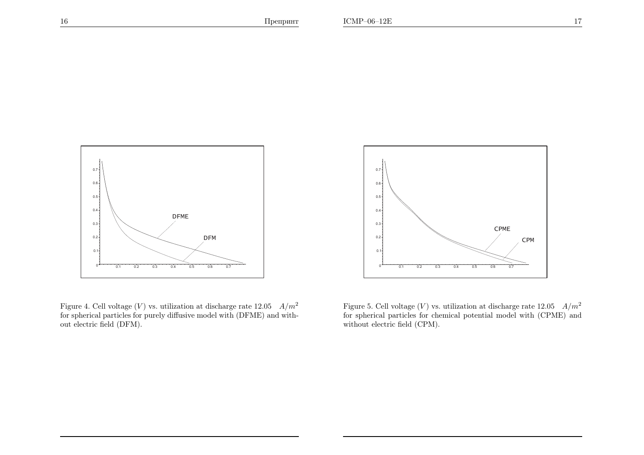

Figure 4. Cell voltage (V) vs. utilization at discharge rate  $12.05 \frac{A}{m^2}$ for spherical particles for purely diffusive model with (DFME) and without electric field (DFM).



Figure 5. Cell voltage (V) vs. utilization at discharge rate  $12.05$   $A/m^2$ for spherical particles for chemical potential model with (CPME) andwithout electric field (CPM).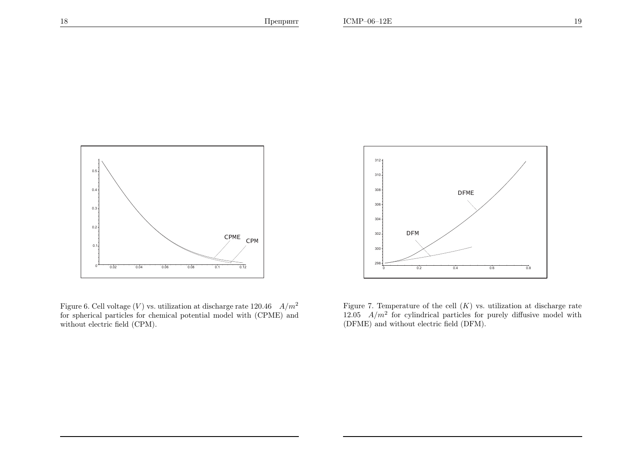

Figure 6. Cell voltage  $(V)$  vs. utilization at discharge rate 120.46  $A/m^2$ for spherical particles for chemical potential model with (CPME) andwithout electric field (CPM).



Figure 7. Temperature of the cell  $(K)$  vs. utilization at discharge rate 12.05  $A/m^2$  for cylindrical particles for purely diffusive model with (DFME) and without electric field (DFM).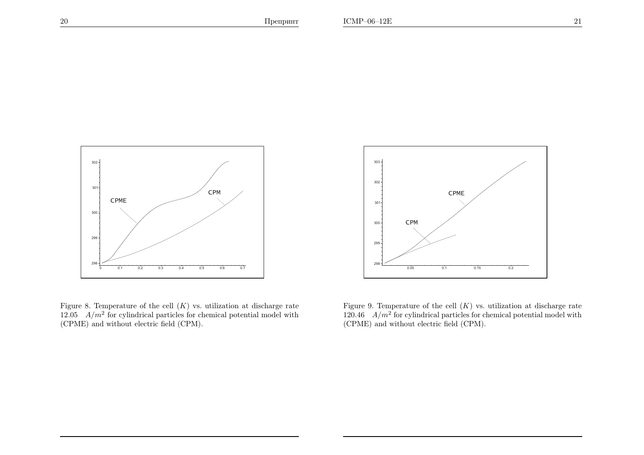

Figure 8. Temperature of the cell  $(K)$  vs. utilization at discharge rate 12.05  $A/m^2$  for cylindrical particles for chemical potential model with (CPME) and without electric field (CPM).



Figure 9. Temperature of the cell  $(K)$  vs. utilization at discharge rate  $120.46$   $A/m^2$  for cylindrical particles for chemical potential model with (CPME) and without electric field (CPM).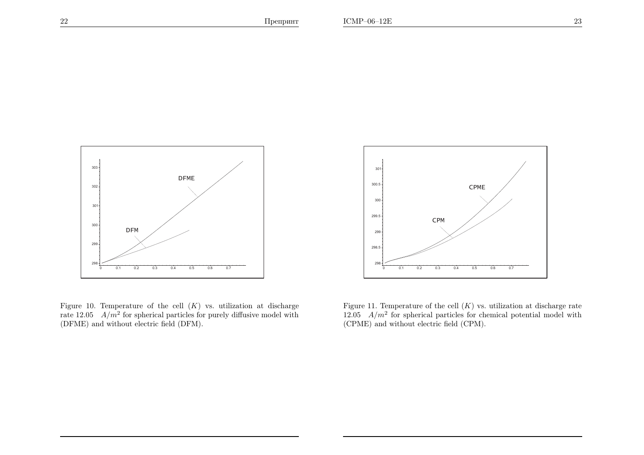

Figure 10. Temperature of the cell  $(K)$  vs. utilization at discharge rate  $12.05$   $A/m^2$  for spherical particles for purely diffusive model with (DFME) and without electric field (DFM).



Figure 11. Temperature of the cell  $(K)$  vs. utilization at discharge rate 12.05  $A/m^2$  for spherical particles for chemical potential model with (CPME) and without electric field (CPM).